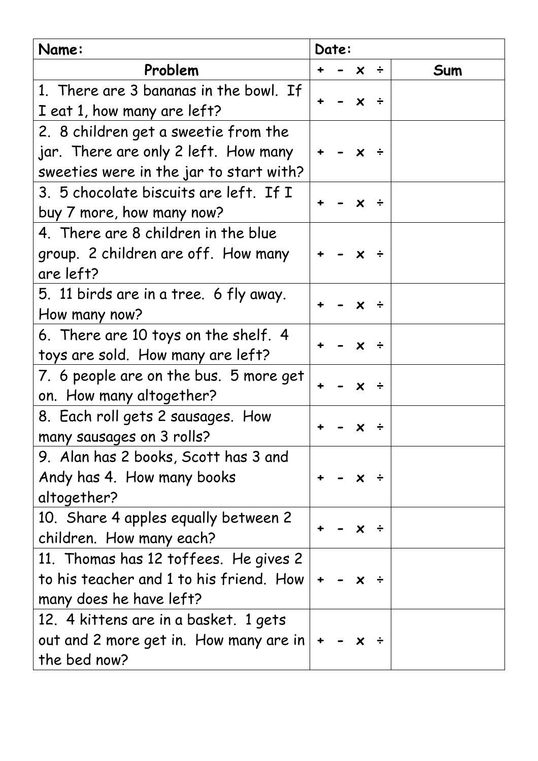| Name:                                           | Date:                     |  |  |  |  |
|-------------------------------------------------|---------------------------|--|--|--|--|
| Problem                                         | Sum<br>$x \div$           |  |  |  |  |
| 1. There are 3 bananas in the bowl. If          |                           |  |  |  |  |
| I eat 1, how many are left?                     | $\boldsymbol{\mathsf{x}}$ |  |  |  |  |
| 2. 8 children get a sweetie from the            |                           |  |  |  |  |
| jar. There are only 2 left. How many            | X                         |  |  |  |  |
| sweeties were in the jar to start with?         |                           |  |  |  |  |
| 3. 5 chocolate biscuits are left. If I          |                           |  |  |  |  |
| buy 7 more, how many now?                       |                           |  |  |  |  |
| 4. There are 8 children in the blue             |                           |  |  |  |  |
| group. 2 children are off. How many             | $\boldsymbol{\mathsf{x}}$ |  |  |  |  |
| are left?                                       |                           |  |  |  |  |
| 5. 11 birds are in a tree. 6 fly away.          |                           |  |  |  |  |
| How many now?                                   | X.                        |  |  |  |  |
| 6. There are 10 toys on the shelf. 4            |                           |  |  |  |  |
| toys are sold. How many are left?               | $\boldsymbol{\mathsf{x}}$ |  |  |  |  |
| 7. 6 people are on the bus. 5 more get          |                           |  |  |  |  |
| on. How many altogether?                        | $\boldsymbol{\mathsf{x}}$ |  |  |  |  |
| 8. Each roll gets 2 sausages. How               |                           |  |  |  |  |
| many sausages on 3 rolls?                       |                           |  |  |  |  |
| 9. Alan has 2 books, Scott has 3 and            |                           |  |  |  |  |
| Andy has 4. How many books                      |                           |  |  |  |  |
| altogether?                                     |                           |  |  |  |  |
| 10. Share 4 apples equally between 2            |                           |  |  |  |  |
| children. How many each?                        | x                         |  |  |  |  |
| 11. Thomas has 12 toffees. He gives 2           |                           |  |  |  |  |
| to his teacher and 1 to his friend. How $\vert$ |                           |  |  |  |  |
| many does he have left?                         |                           |  |  |  |  |
| 12. 4 kittens are in a basket. 1 gets           |                           |  |  |  |  |
| out and 2 more get in. How many are in $ $ +    |                           |  |  |  |  |
| the bed now?                                    |                           |  |  |  |  |